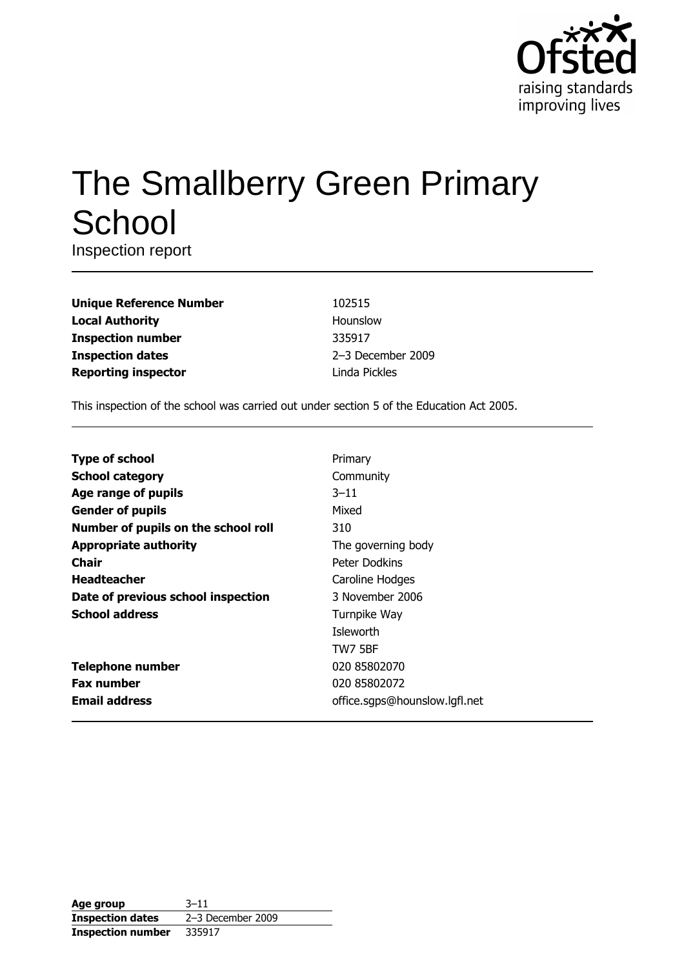

# The Smallberry Green Primary School

Inspection report

| <b>Unique Reference Number</b> |
|--------------------------------|
| <b>Local Authority</b>         |
| <b>Inspection number</b>       |
| <b>Inspection dates</b>        |
| <b>Reporting inspector</b>     |

102515 Hounslow 335917 2-3 December 2009 Linda Pickles

This inspection of the school was carried out under section 5 of the Education Act 2005.

| Primary                       |
|-------------------------------|
| Community                     |
| $3 - 11$                      |
| Mixed                         |
| 310                           |
| The governing body            |
| Peter Dodkins                 |
| Caroline Hodges               |
| 3 November 2006               |
| Turnpike Way                  |
| Isleworth                     |
| <b>TW7 5BF</b>                |
| 020 85802070                  |
| 020 85802072                  |
| office.sgps@hounslow.lgfl.net |
|                               |

| Age group                | $3 - 11$            |
|--------------------------|---------------------|
| <b>Inspection dates</b>  | $2-3$ December 2009 |
| <b>Inspection number</b> | 335917              |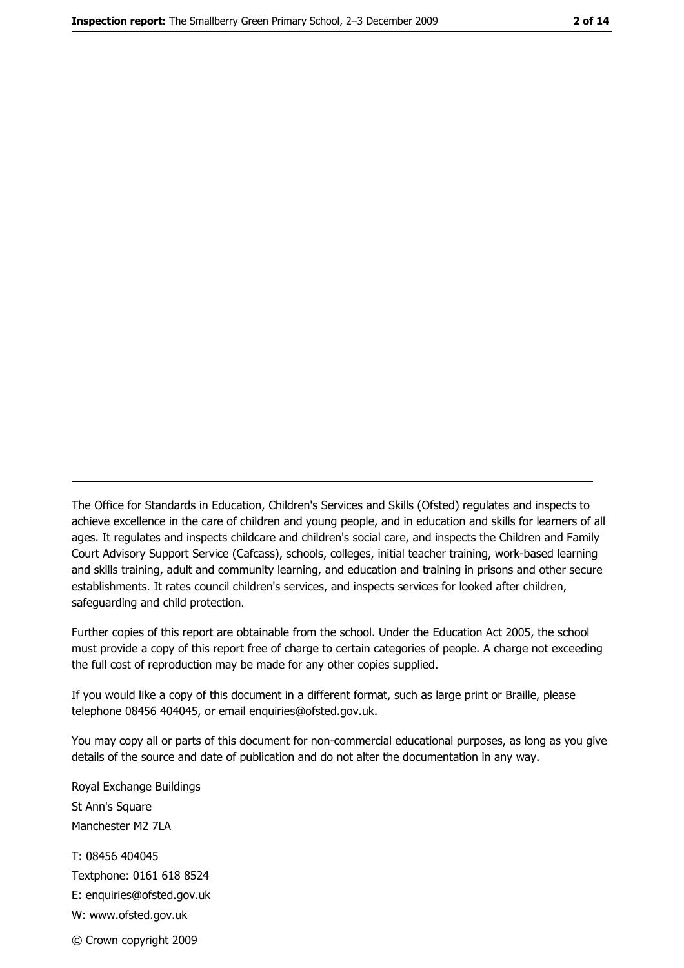The Office for Standards in Education, Children's Services and Skills (Ofsted) regulates and inspects to achieve excellence in the care of children and young people, and in education and skills for learners of all ages. It regulates and inspects childcare and children's social care, and inspects the Children and Family Court Advisory Support Service (Cafcass), schools, colleges, initial teacher training, work-based learning and skills training, adult and community learning, and education and training in prisons and other secure establishments. It rates council children's services, and inspects services for looked after children, safequarding and child protection.

Further copies of this report are obtainable from the school. Under the Education Act 2005, the school must provide a copy of this report free of charge to certain categories of people. A charge not exceeding the full cost of reproduction may be made for any other copies supplied.

If you would like a copy of this document in a different format, such as large print or Braille, please telephone 08456 404045, or email enquiries@ofsted.gov.uk.

You may copy all or parts of this document for non-commercial educational purposes, as long as you give details of the source and date of publication and do not alter the documentation in any way.

Royal Exchange Buildings St Ann's Square Manchester M2 7LA T: 08456 404045 Textphone: 0161 618 8524 E: enquiries@ofsted.gov.uk W: www.ofsted.gov.uk © Crown copyright 2009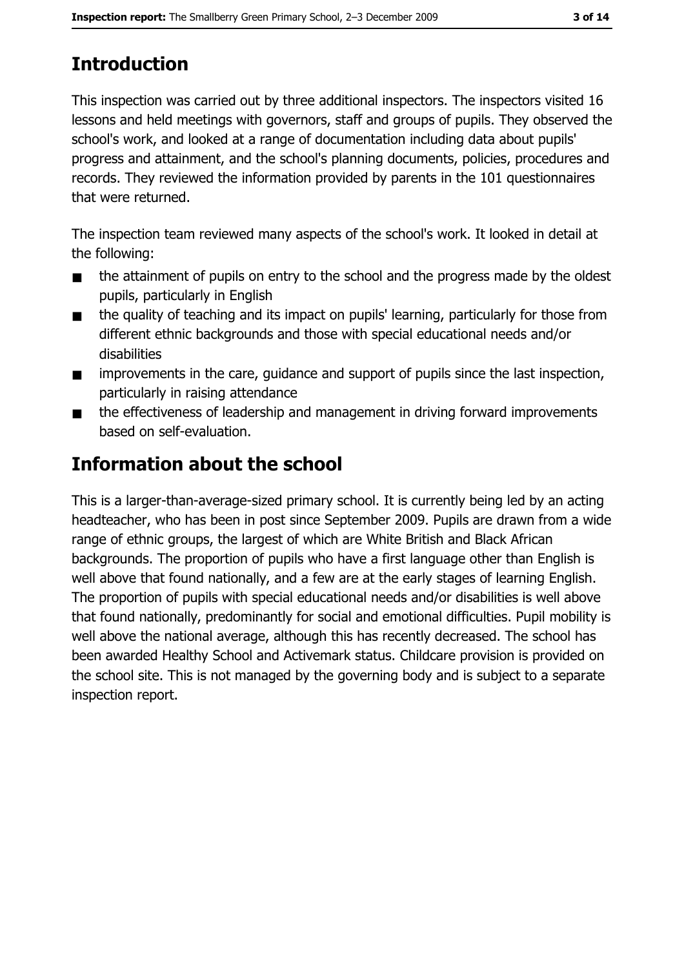# **Introduction**

This inspection was carried out by three additional inspectors. The inspectors visited 16 lessons and held meetings with governors, staff and groups of pupils. They observed the school's work, and looked at a range of documentation including data about pupils' progress and attainment, and the school's planning documents, policies, procedures and records. They reviewed the information provided by parents in the 101 questionnaires that were returned.

The inspection team reviewed many aspects of the school's work. It looked in detail at the following:

- the attainment of pupils on entry to the school and the progress made by the oldest  $\blacksquare$ pupils, particularly in English
- the quality of teaching and its impact on pupils' learning, particularly for those from  $\blacksquare$ different ethnic backgrounds and those with special educational needs and/or disabilities
- improvements in the care, quidance and support of pupils since the last inspection,  $\blacksquare$ particularly in raising attendance
- the effectiveness of leadership and management in driving forward improvements  $\blacksquare$ based on self-evaluation.

# **Information about the school**

This is a larger-than-average-sized primary school. It is currently being led by an acting headteacher, who has been in post since September 2009. Pupils are drawn from a wide range of ethnic groups, the largest of which are White British and Black African backgrounds. The proportion of pupils who have a first language other than English is well above that found nationally, and a few are at the early stages of learning English. The proportion of pupils with special educational needs and/or disabilities is well above that found nationally, predominantly for social and emotional difficulties. Pupil mobility is well above the national average, although this has recently decreased. The school has been awarded Healthy School and Activemark status. Childcare provision is provided on the school site. This is not managed by the governing body and is subject to a separate inspection report.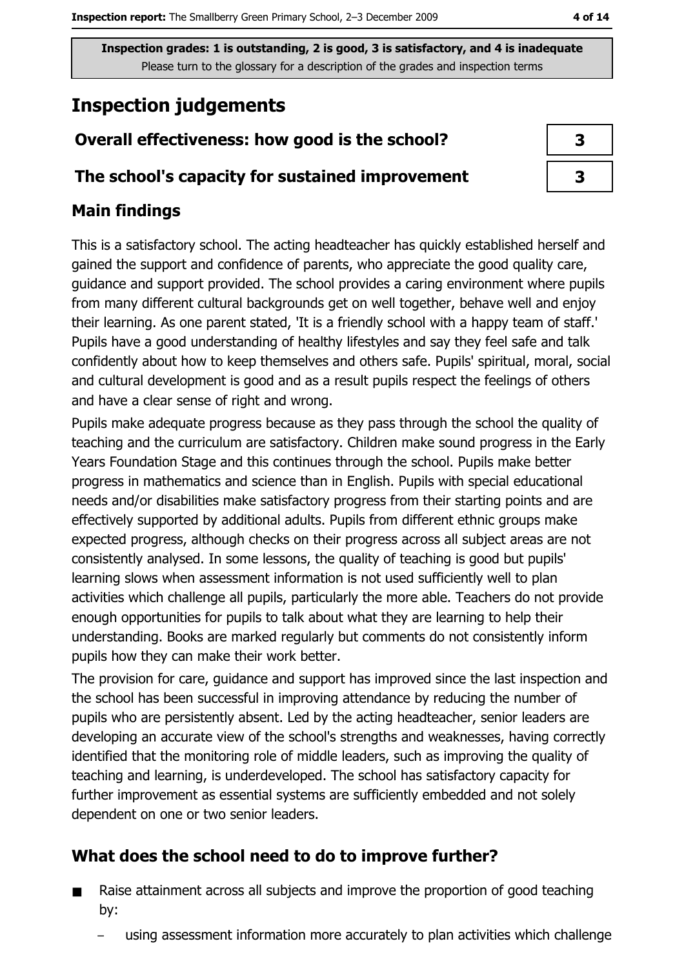# **Inspection judgements**

# Overall effectiveness: how good is the school?

### The school's capacity for sustained improvement

## **Main findings**

This is a satisfactory school. The acting headteacher has quickly established herself and gained the support and confidence of parents, who appreciate the good quality care, quidance and support provided. The school provides a caring environment where pupils from many different cultural backgrounds get on well together, behave well and enjoy their learning. As one parent stated, 'It is a friendly school with a happy team of staff.' Pupils have a good understanding of healthy lifestyles and say they feel safe and talk confidently about how to keep themselves and others safe. Pupils' spiritual, moral, social and cultural development is good and as a result pupils respect the feelings of others and have a clear sense of right and wrong.

Pupils make adequate progress because as they pass through the school the quality of teaching and the curriculum are satisfactory. Children make sound progress in the Early Years Foundation Stage and this continues through the school. Pupils make better progress in mathematics and science than in English. Pupils with special educational needs and/or disabilities make satisfactory progress from their starting points and are effectively supported by additional adults. Pupils from different ethnic groups make expected progress, although checks on their progress across all subject areas are not consistently analysed. In some lessons, the quality of teaching is good but pupils' learning slows when assessment information is not used sufficiently well to plan activities which challenge all pupils, particularly the more able. Teachers do not provide enough opportunities for pupils to talk about what they are learning to help their understanding. Books are marked regularly but comments do not consistently inform pupils how they can make their work better.

The provision for care, quidance and support has improved since the last inspection and the school has been successful in improving attendance by reducing the number of pupils who are persistently absent. Led by the acting headteacher, senior leaders are developing an accurate view of the school's strengths and weaknesses, having correctly identified that the monitoring role of middle leaders, such as improving the quality of teaching and learning, is underdeveloped. The school has satisfactory capacity for further improvement as essential systems are sufficiently embedded and not solely dependent on one or two senior leaders.

# What does the school need to do to improve further?

- Raise attainment across all subjects and improve the proportion of good teaching  $\blacksquare$ by:
	- using assessment information more accurately to plan activities which challenge

| 3 |  |
|---|--|
| 3 |  |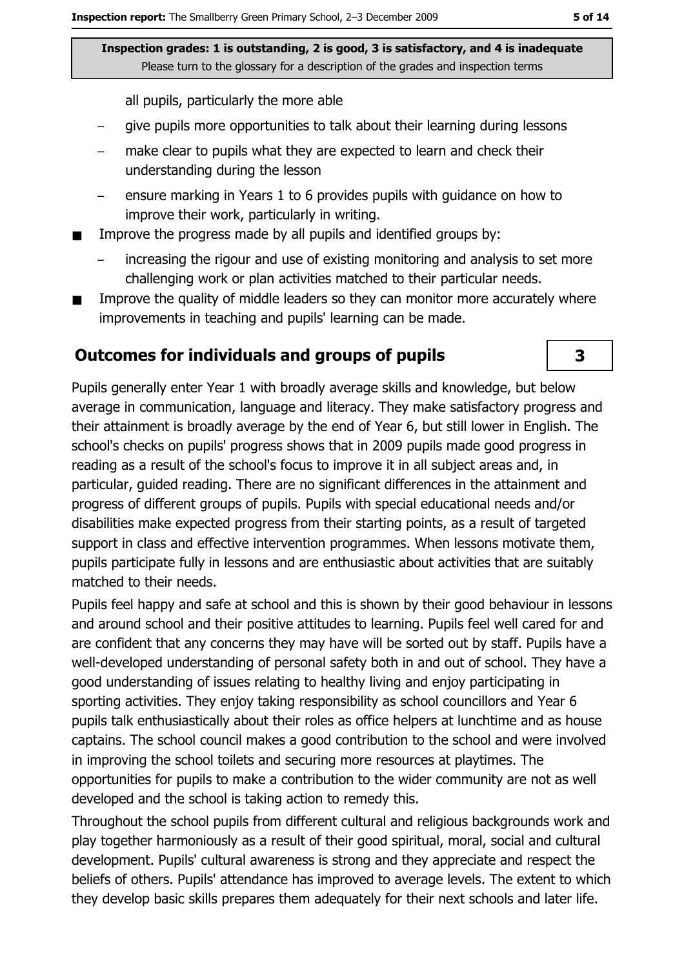all pupils, particularly the more able

- give pupils more opportunities to talk about their learning during lessons
- make clear to pupils what they are expected to learn and check their understanding during the lesson
- ensure marking in Years 1 to 6 provides pupils with quidance on how to improve their work, particularly in writing.
- Improve the progress made by all pupils and identified groups by:
	- increasing the rigour and use of existing monitoring and analysis to set more challenging work or plan activities matched to their particular needs.
- Improve the quality of middle leaders so they can monitor more accurately where improvements in teaching and pupils' learning can be made.

#### **Outcomes for individuals and groups of pupils**

Pupils generally enter Year 1 with broadly average skills and knowledge, but below average in communication, language and literacy. They make satisfactory progress and their attainment is broadly average by the end of Year 6, but still lower in English. The school's checks on pupils' progress shows that in 2009 pupils made good progress in reading as a result of the school's focus to improve it in all subject areas and, in particular, quided reading. There are no significant differences in the attainment and progress of different groups of pupils. Pupils with special educational needs and/or disabilities make expected progress from their starting points, as a result of targeted support in class and effective intervention programmes. When lessons motivate them, pupils participate fully in lessons and are enthusiastic about activities that are suitably matched to their needs.

Pupils feel happy and safe at school and this is shown by their good behaviour in lessons and around school and their positive attitudes to learning. Pupils feel well cared for and are confident that any concerns they may have will be sorted out by staff. Pupils have a well-developed understanding of personal safety both in and out of school. They have a good understanding of issues relating to healthy living and enjoy participating in sporting activities. They enjoy taking responsibility as school councillors and Year 6 pupils talk enthusiastically about their roles as office helpers at lunchtime and as house captains. The school council makes a good contribution to the school and were involved in improving the school toilets and securing more resources at playtimes. The opportunities for pupils to make a contribution to the wider community are not as well developed and the school is taking action to remedy this.

Throughout the school pupils from different cultural and religious backgrounds work and play together harmoniously as a result of their good spiritual, moral, social and cultural development. Pupils' cultural awareness is strong and they appreciate and respect the beliefs of others. Pupils' attendance has improved to average levels. The extent to which they develop basic skills prepares them adequately for their next schools and later life.

#### 3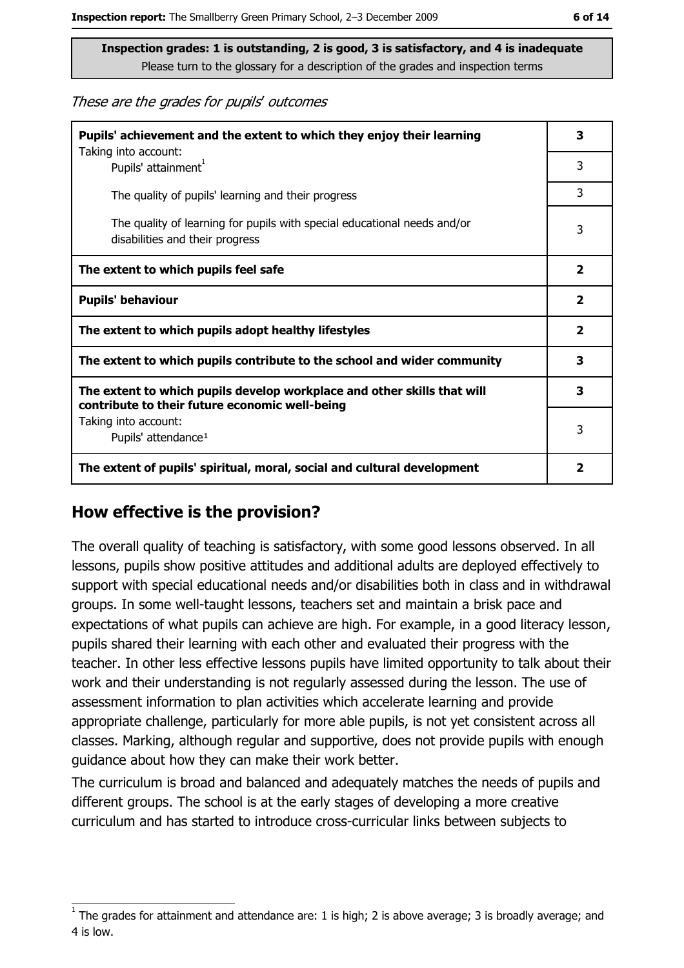These are the grades for pupils' outcomes

| Pupils' achievement and the extent to which they enjoy their learning<br>Taking into account:                             | 3                       |  |
|---------------------------------------------------------------------------------------------------------------------------|-------------------------|--|
| Pupils' attainment <sup>1</sup>                                                                                           | 3                       |  |
| The quality of pupils' learning and their progress                                                                        | 3                       |  |
| The quality of learning for pupils with special educational needs and/or<br>disabilities and their progress               | 3                       |  |
| The extent to which pupils feel safe                                                                                      | 2                       |  |
| <b>Pupils' behaviour</b>                                                                                                  | $\mathbf{2}$            |  |
| The extent to which pupils adopt healthy lifestyles                                                                       | $\overline{\mathbf{2}}$ |  |
| The extent to which pupils contribute to the school and wider community                                                   | 3                       |  |
| The extent to which pupils develop workplace and other skills that will<br>contribute to their future economic well-being |                         |  |
| Taking into account:<br>Pupils' attendance <sup>1</sup>                                                                   | 3                       |  |
| The extent of pupils' spiritual, moral, social and cultural development                                                   | $\overline{\mathbf{2}}$ |  |

## How effective is the provision?

The overall quality of teaching is satisfactory, with some good lessons observed. In all lessons, pupils show positive attitudes and additional adults are deployed effectively to support with special educational needs and/or disabilities both in class and in withdrawal groups. In some well-taught lessons, teachers set and maintain a brisk pace and expectations of what pupils can achieve are high. For example, in a good literacy lesson, pupils shared their learning with each other and evaluated their progress with the teacher. In other less effective lessons pupils have limited opportunity to talk about their work and their understanding is not regularly assessed during the lesson. The use of assessment information to plan activities which accelerate learning and provide appropriate challenge, particularly for more able pupils, is not yet consistent across all classes. Marking, although regular and supportive, does not provide pupils with enough guidance about how they can make their work better.

The curriculum is broad and balanced and adequately matches the needs of pupils and different groups. The school is at the early stages of developing a more creative curriculum and has started to introduce cross-curricular links between subjects to

The grades for attainment and attendance are: 1 is high; 2 is above average; 3 is broadly average; and 4 is low.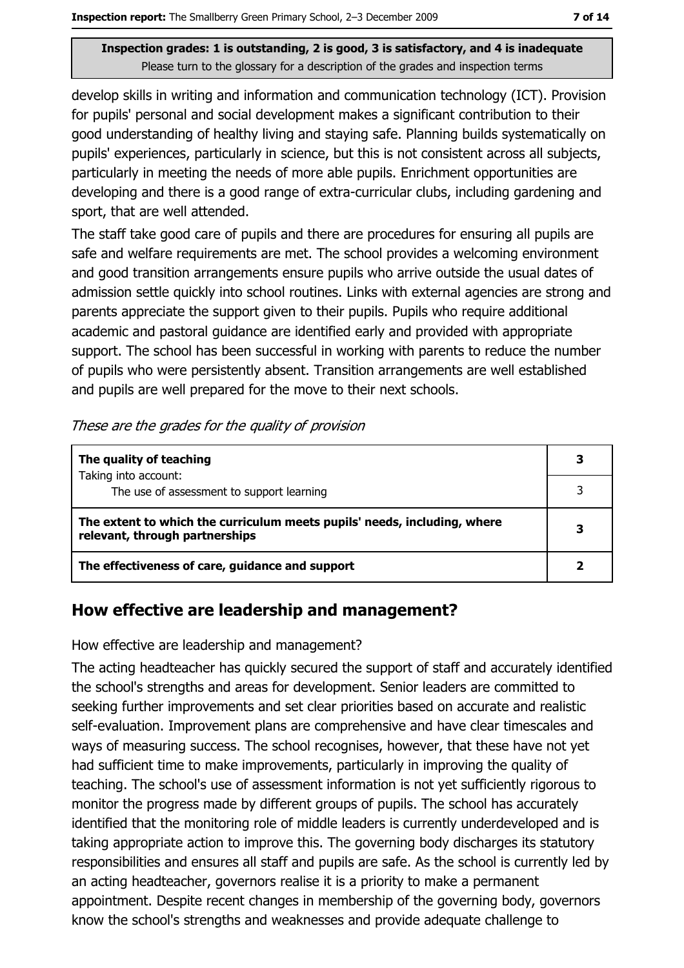develop skills in writing and information and communication technology (ICT). Provision for pupils' personal and social development makes a significant contribution to their good understanding of healthy living and staying safe. Planning builds systematically on pupils' experiences, particularly in science, but this is not consistent across all subjects, particularly in meeting the needs of more able pupils. Enrichment opportunities are developing and there is a good range of extra-curricular clubs, including gardening and sport, that are well attended.

The staff take good care of pupils and there are procedures for ensuring all pupils are safe and welfare requirements are met. The school provides a welcoming environment and good transition arrangements ensure pupils who arrive outside the usual dates of admission settle quickly into school routines. Links with external agencies are strong and parents appreciate the support given to their pupils. Pupils who require additional academic and pastoral guidance are identified early and provided with appropriate support. The school has been successful in working with parents to reduce the number of pupils who were persistently absent. Transition arrangements are well established and pupils are well prepared for the move to their next schools.

#### These are the grades for the quality of provision

| The quality of teaching                                                                                    |   |
|------------------------------------------------------------------------------------------------------------|---|
| Taking into account:<br>The use of assessment to support learning                                          |   |
| The extent to which the curriculum meets pupils' needs, including, where<br>relevant, through partnerships | 3 |
| The effectiveness of care, guidance and support                                                            |   |

## How effective are leadership and management?

How effective are leadership and management?

The acting headteacher has quickly secured the support of staff and accurately identified the school's strengths and areas for development. Senior leaders are committed to seeking further improvements and set clear priorities based on accurate and realistic self-evaluation. Improvement plans are comprehensive and have clear timescales and ways of measuring success. The school recognises, however, that these have not yet had sufficient time to make improvements, particularly in improving the quality of teaching. The school's use of assessment information is not yet sufficiently rigorous to monitor the progress made by different groups of pupils. The school has accurately identified that the monitoring role of middle leaders is currently underdeveloped and is taking appropriate action to improve this. The governing body discharges its statutory responsibilities and ensures all staff and pupils are safe. As the school is currently led by an acting headteacher, governors realise it is a priority to make a permanent appointment. Despite recent changes in membership of the governing body, governors know the school's strengths and weaknesses and provide adequate challenge to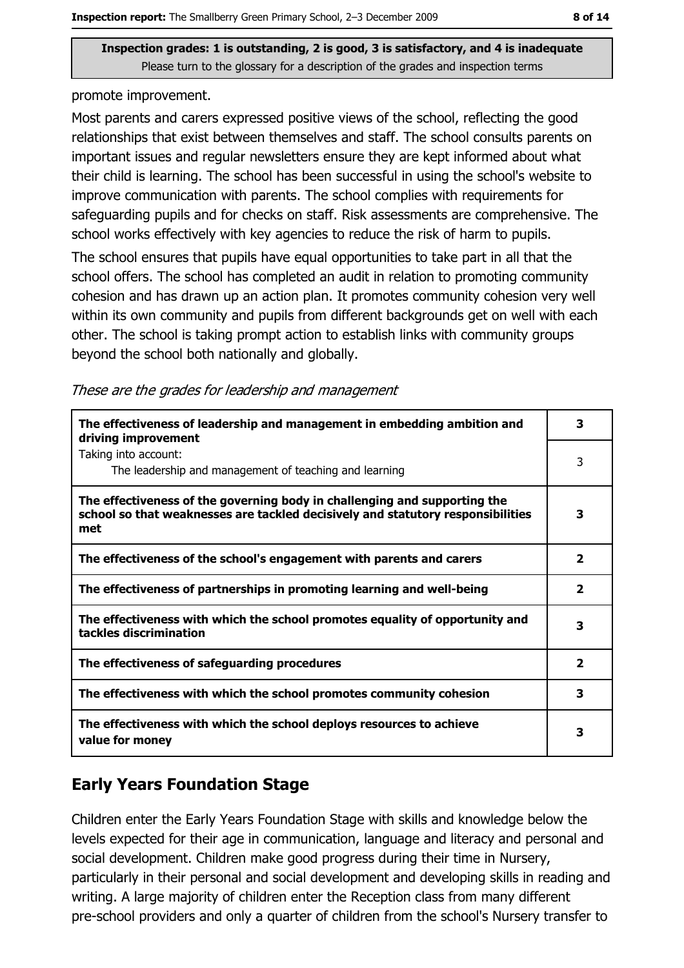promote improvement.

Most parents and carers expressed positive views of the school, reflecting the good relationships that exist between themselves and staff. The school consults parents on important issues and regular newsletters ensure they are kept informed about what their child is learning. The school has been successful in using the school's website to improve communication with parents. The school complies with requirements for safeguarding pupils and for checks on staff. Risk assessments are comprehensive. The school works effectively with key agencies to reduce the risk of harm to pupils.

The school ensures that pupils have equal opportunities to take part in all that the school offers. The school has completed an audit in relation to promoting community cohesion and has drawn up an action plan. It promotes community cohesion very well within its own community and pupils from different backgrounds get on well with each other. The school is taking prompt action to establish links with community groups beyond the school both nationally and globally.

|  |  | These are the grades for leadership and management |
|--|--|----------------------------------------------------|
|  |  |                                                    |

| The effectiveness of leadership and management in embedding ambition and<br>driving improvement                                                                     |                         |  |  |
|---------------------------------------------------------------------------------------------------------------------------------------------------------------------|-------------------------|--|--|
| Taking into account:<br>The leadership and management of teaching and learning                                                                                      | 3                       |  |  |
| The effectiveness of the governing body in challenging and supporting the<br>school so that weaknesses are tackled decisively and statutory responsibilities<br>met | 3                       |  |  |
| The effectiveness of the school's engagement with parents and carers                                                                                                | $\overline{\mathbf{2}}$ |  |  |
| The effectiveness of partnerships in promoting learning and well-being                                                                                              | 2                       |  |  |
| The effectiveness with which the school promotes equality of opportunity and<br>tackles discrimination                                                              | 3                       |  |  |
| The effectiveness of safeguarding procedures                                                                                                                        | $\overline{\mathbf{2}}$ |  |  |
| The effectiveness with which the school promotes community cohesion                                                                                                 | 3                       |  |  |
| The effectiveness with which the school deploys resources to achieve<br>value for money                                                                             | з                       |  |  |

# **Early Years Foundation Stage**

Children enter the Early Years Foundation Stage with skills and knowledge below the levels expected for their age in communication, language and literacy and personal and social development. Children make good progress during their time in Nursery, particularly in their personal and social development and developing skills in reading and writing. A large majority of children enter the Reception class from many different pre-school providers and only a quarter of children from the school's Nursery transfer to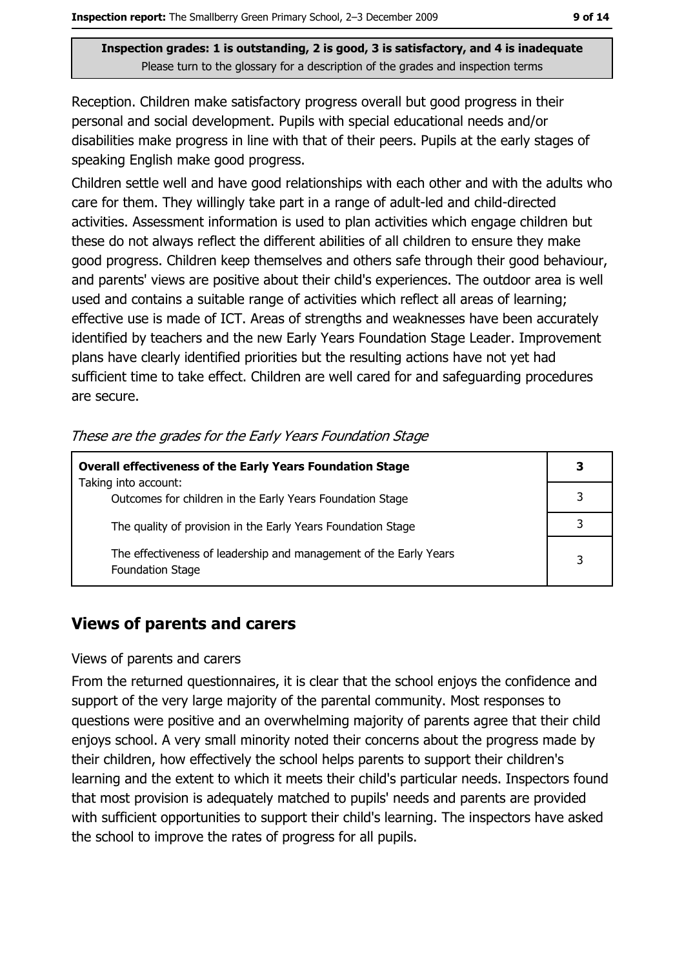Reception. Children make satisfactory progress overall but good progress in their personal and social development. Pupils with special educational needs and/or disabilities make progress in line with that of their peers. Pupils at the early stages of speaking English make good progress.

Children settle well and have good relationships with each other and with the adults who care for them. They willingly take part in a range of adult-led and child-directed activities. Assessment information is used to plan activities which engage children but these do not always reflect the different abilities of all children to ensure they make good progress. Children keep themselves and others safe through their good behaviour, and parents' views are positive about their child's experiences. The outdoor area is well used and contains a suitable range of activities which reflect all areas of learning; effective use is made of ICT. Areas of strengths and weaknesses have been accurately identified by teachers and the new Early Years Foundation Stage Leader. Improvement plans have clearly identified priorities but the resulting actions have not yet had sufficient time to take effect. Children are well cared for and safeguarding procedures are secure.

| <b>Overall effectiveness of the Early Years Foundation Stage</b>                             | З |
|----------------------------------------------------------------------------------------------|---|
| Taking into account:<br>Outcomes for children in the Early Years Foundation Stage            |   |
| The quality of provision in the Early Years Foundation Stage                                 |   |
| The effectiveness of leadership and management of the Early Years<br><b>Foundation Stage</b> | 3 |

#### These are the grades for the Early Years Foundation Stage

## **Views of parents and carers**

#### Views of parents and carers

From the returned questionnaires, it is clear that the school enjoys the confidence and support of the very large majority of the parental community. Most responses to questions were positive and an overwhelming majority of parents agree that their child enjoys school. A very small minority noted their concerns about the progress made by their children, how effectively the school helps parents to support their children's learning and the extent to which it meets their child's particular needs. Inspectors found that most provision is adequately matched to pupils' needs and parents are provided with sufficient opportunities to support their child's learning. The inspectors have asked the school to improve the rates of progress for all pupils.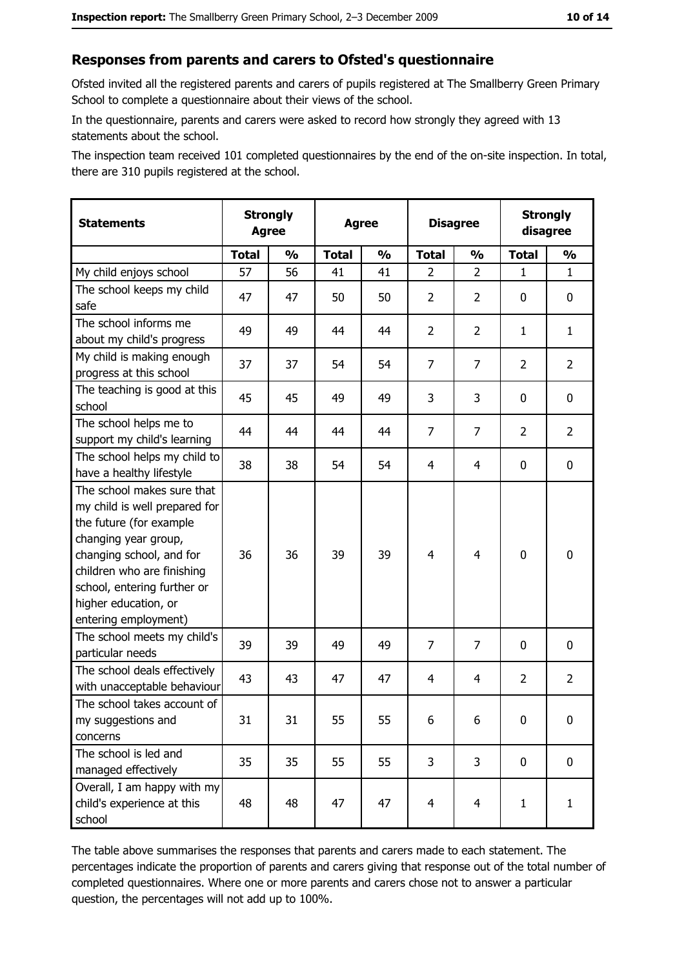#### Responses from parents and carers to Ofsted's questionnaire

Ofsted invited all the registered parents and carers of pupils registered at The Smallberry Green Primary School to complete a questionnaire about their views of the school.

In the questionnaire, parents and carers were asked to record how strongly they agreed with 13 statements about the school.

The inspection team received 101 completed questionnaires by the end of the on-site inspection. In total, there are 310 pupils registered at the school.

| <b>Statements</b>                                                                                                                                                                                                                                       | <b>Strongly</b><br><b>Agree</b> |               | <b>Agree</b> |               | <b>Disagree</b> |                |                | <b>Strongly</b><br>disagree |
|---------------------------------------------------------------------------------------------------------------------------------------------------------------------------------------------------------------------------------------------------------|---------------------------------|---------------|--------------|---------------|-----------------|----------------|----------------|-----------------------------|
|                                                                                                                                                                                                                                                         | <b>Total</b>                    | $\frac{0}{0}$ | <b>Total</b> | $\frac{0}{0}$ | <b>Total</b>    | $\frac{1}{2}$  | <b>Total</b>   | $\frac{0}{0}$               |
| My child enjoys school                                                                                                                                                                                                                                  | 57                              | 56            | 41           | 41            | $\overline{2}$  | $\overline{2}$ | $\mathbf{1}$   | $\mathbf{1}$                |
| The school keeps my child<br>safe                                                                                                                                                                                                                       | 47                              | 47            | 50           | 50            | $\overline{2}$  | $\overline{2}$ | 0              | $\mathbf 0$                 |
| The school informs me<br>about my child's progress                                                                                                                                                                                                      | 49                              | 49            | 44           | 44            | $\overline{2}$  | $\overline{2}$ | 1              | $\mathbf{1}$                |
| My child is making enough<br>progress at this school                                                                                                                                                                                                    | 37                              | 37            | 54           | 54            | $\overline{7}$  | 7              | $\overline{2}$ | $\overline{2}$              |
| The teaching is good at this<br>school                                                                                                                                                                                                                  | 45                              | 45            | 49           | 49            | 3               | 3              | 0              | 0                           |
| The school helps me to<br>support my child's learning                                                                                                                                                                                                   | 44                              | 44            | 44           | 44            | $\overline{7}$  | $\overline{7}$ | $\overline{2}$ | $\overline{2}$              |
| The school helps my child to<br>have a healthy lifestyle                                                                                                                                                                                                | 38                              | 38            | 54           | 54            | 4               | 4              | 0              | $\mathbf 0$                 |
| The school makes sure that<br>my child is well prepared for<br>the future (for example<br>changing year group,<br>changing school, and for<br>children who are finishing<br>school, entering further or<br>higher education, or<br>entering employment) | 36                              | 36            | 39           | 39            | $\overline{4}$  | $\overline{4}$ | $\mathbf 0$    | $\bf{0}$                    |
| The school meets my child's<br>particular needs                                                                                                                                                                                                         | 39                              | 39            | 49           | 49            | $\overline{7}$  | $\overline{7}$ | 0              | $\mathbf 0$                 |
| The school deals effectively<br>with unacceptable behaviour                                                                                                                                                                                             | 43                              | 43            | 47           | 47            | 4               | 4              | $\overline{2}$ | $\overline{2}$              |
| The school takes account of<br>my suggestions and<br>concerns                                                                                                                                                                                           | 31                              | 31            | 55           | 55            | 6               | 6              | 0              | $\bf{0}$                    |
| The school is led and<br>managed effectively                                                                                                                                                                                                            | 35                              | 35            | 55           | 55            | 3               | 3              | $\mathbf 0$    | $\mathbf 0$                 |
| Overall, I am happy with my<br>child's experience at this<br>school                                                                                                                                                                                     | 48                              | 48            | 47           | 47            | $\overline{4}$  | $\overline{4}$ | $\mathbf{1}$   | $\mathbf{1}$                |

The table above summarises the responses that parents and carers made to each statement. The percentages indicate the proportion of parents and carers giving that response out of the total number of completed questionnaires. Where one or more parents and carers chose not to answer a particular question, the percentages will not add up to 100%.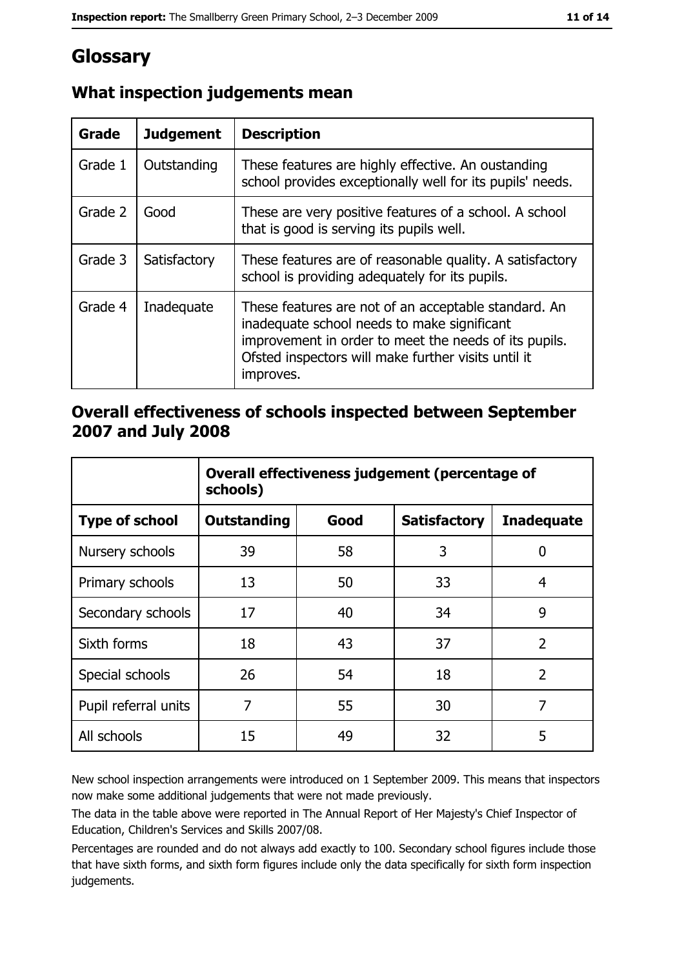# Glossary

| Grade   | <b>Judgement</b> | <b>Description</b>                                                                                                                                                                                                               |
|---------|------------------|----------------------------------------------------------------------------------------------------------------------------------------------------------------------------------------------------------------------------------|
| Grade 1 | Outstanding      | These features are highly effective. An oustanding<br>school provides exceptionally well for its pupils' needs.                                                                                                                  |
| Grade 2 | Good             | These are very positive features of a school. A school<br>that is good is serving its pupils well.                                                                                                                               |
| Grade 3 | Satisfactory     | These features are of reasonable quality. A satisfactory<br>school is providing adequately for its pupils.                                                                                                                       |
| Grade 4 | Inadequate       | These features are not of an acceptable standard. An<br>inadequate school needs to make significant<br>improvement in order to meet the needs of its pupils.<br>Ofsted inspectors will make further visits until it<br>improves. |

# What inspection judgements mean

## Overall effectiveness of schools inspected between September 2007 and July 2008

|                       | Overall effectiveness judgement (percentage of<br>schools) |      |                     |                   |  |
|-----------------------|------------------------------------------------------------|------|---------------------|-------------------|--|
| <b>Type of school</b> | Outstanding                                                | Good | <b>Satisfactory</b> | <b>Inadequate</b> |  |
| Nursery schools       | 39                                                         | 58   | 3                   | 0                 |  |
| Primary schools       | 13                                                         | 50   | 33                  | 4                 |  |
| Secondary schools     | 17                                                         | 40   | 34                  | 9                 |  |
| Sixth forms           | 18                                                         | 43   | 37                  | $\overline{2}$    |  |
| Special schools       | 26                                                         | 54   | 18                  | $\overline{2}$    |  |
| Pupil referral units  | 7                                                          | 55   | 30                  | 7                 |  |
| All schools           | 15                                                         | 49   | 32                  | 5                 |  |

New school inspection arrangements were introduced on 1 September 2009. This means that inspectors now make some additional judgements that were not made previously.

The data in the table above were reported in The Annual Report of Her Majesty's Chief Inspector of Education, Children's Services and Skills 2007/08.

Percentages are rounded and do not always add exactly to 100. Secondary school figures include those that have sixth forms, and sixth form figures include only the data specifically for sixth form inspection judgements.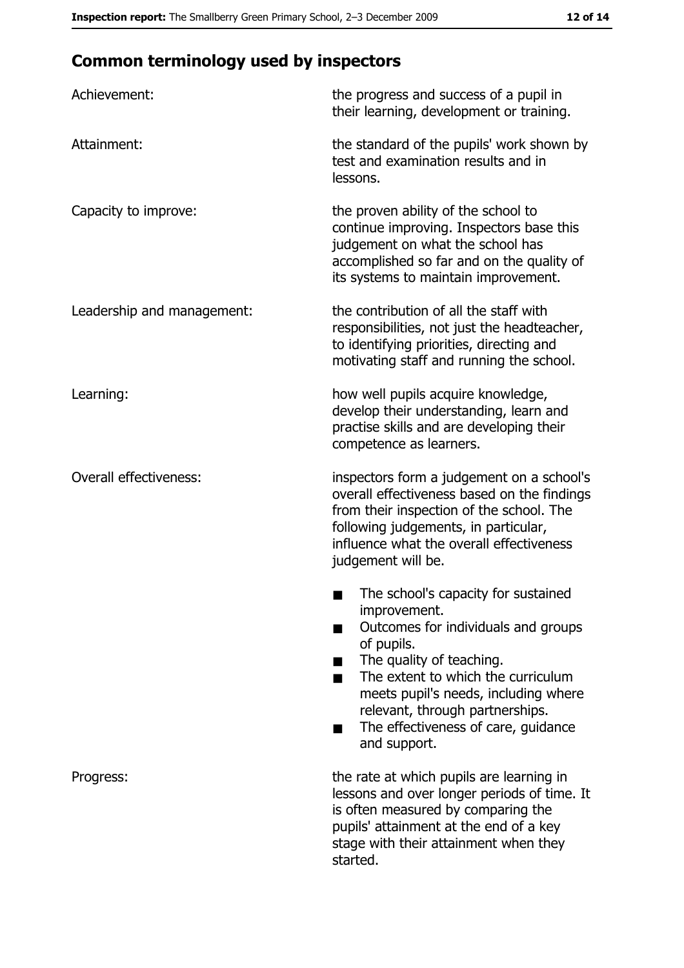# **Common terminology used by inspectors**

| Achievement:                  | the progress and success of a pupil in<br>their learning, development or training.                                                                                                                                                                                                                           |
|-------------------------------|--------------------------------------------------------------------------------------------------------------------------------------------------------------------------------------------------------------------------------------------------------------------------------------------------------------|
| Attainment:                   | the standard of the pupils' work shown by<br>test and examination results and in<br>lessons.                                                                                                                                                                                                                 |
| Capacity to improve:          | the proven ability of the school to<br>continue improving. Inspectors base this<br>judgement on what the school has<br>accomplished so far and on the quality of<br>its systems to maintain improvement.                                                                                                     |
| Leadership and management:    | the contribution of all the staff with<br>responsibilities, not just the headteacher,<br>to identifying priorities, directing and<br>motivating staff and running the school.                                                                                                                                |
| Learning:                     | how well pupils acquire knowledge,<br>develop their understanding, learn and<br>practise skills and are developing their<br>competence as learners.                                                                                                                                                          |
| <b>Overall effectiveness:</b> | inspectors form a judgement on a school's<br>overall effectiveness based on the findings<br>from their inspection of the school. The<br>following judgements, in particular,<br>influence what the overall effectiveness<br>judgement will be.                                                               |
|                               | The school's capacity for sustained<br>improvement.<br>Outcomes for individuals and groups<br>of pupils.<br>The quality of teaching.<br>The extent to which the curriculum<br>meets pupil's needs, including where<br>relevant, through partnerships.<br>The effectiveness of care, guidance<br>and support. |
| Progress:                     | the rate at which pupils are learning in<br>lessons and over longer periods of time. It<br>is often measured by comparing the<br>pupils' attainment at the end of a key<br>stage with their attainment when they<br>started.                                                                                 |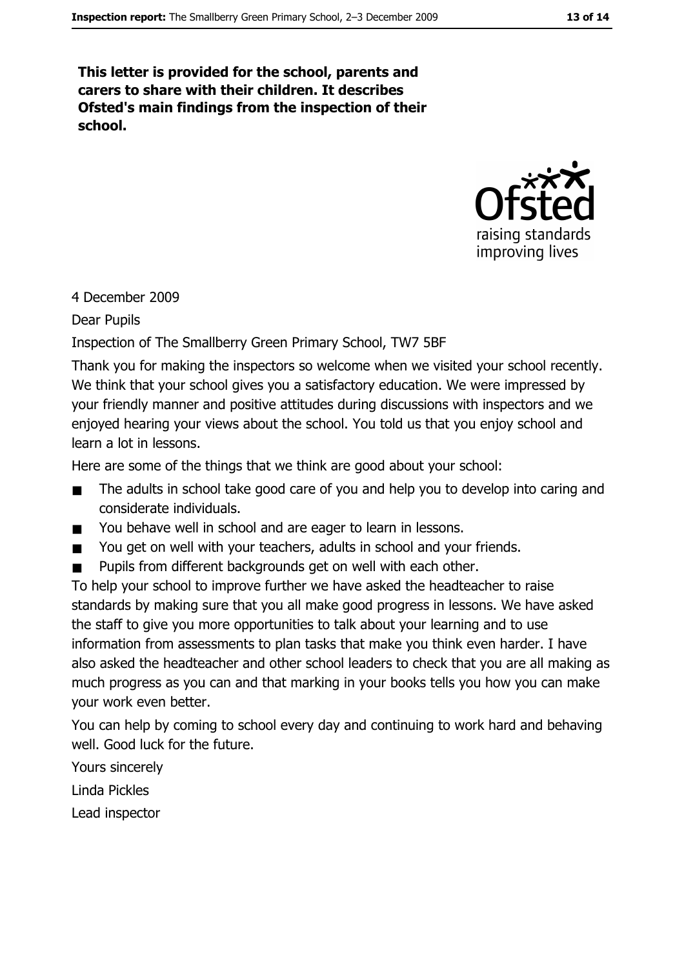This letter is provided for the school, parents and carers to share with their children. It describes Ofsted's main findings from the inspection of their school.



#### 4 December 2009

**Dear Pupils** 

Inspection of The Smallberry Green Primary School, TW7 5BF

Thank you for making the inspectors so welcome when we visited your school recently. We think that your school gives you a satisfactory education. We were impressed by your friendly manner and positive attitudes during discussions with inspectors and we enjoyed hearing your views about the school. You told us that you enjoy school and learn a lot in lessons.

Here are some of the things that we think are good about your school:

- The adults in school take good care of you and help you to develop into caring and  $\blacksquare$ considerate individuals.
- You behave well in school and are eager to learn in lessons.  $\blacksquare$
- You get on well with your teachers, adults in school and your friends.  $\blacksquare$
- Pupils from different backgrounds get on well with each other.

To help your school to improve further we have asked the headteacher to raise standards by making sure that you all make good progress in lessons. We have asked the staff to give you more opportunities to talk about your learning and to use information from assessments to plan tasks that make you think even harder. I have also asked the headteacher and other school leaders to check that you are all making as much progress as you can and that marking in your books tells you how you can make vour work even better.

You can help by coming to school every day and continuing to work hard and behaving well. Good luck for the future.

Yours sincerely Linda Pickles

Lead inspector